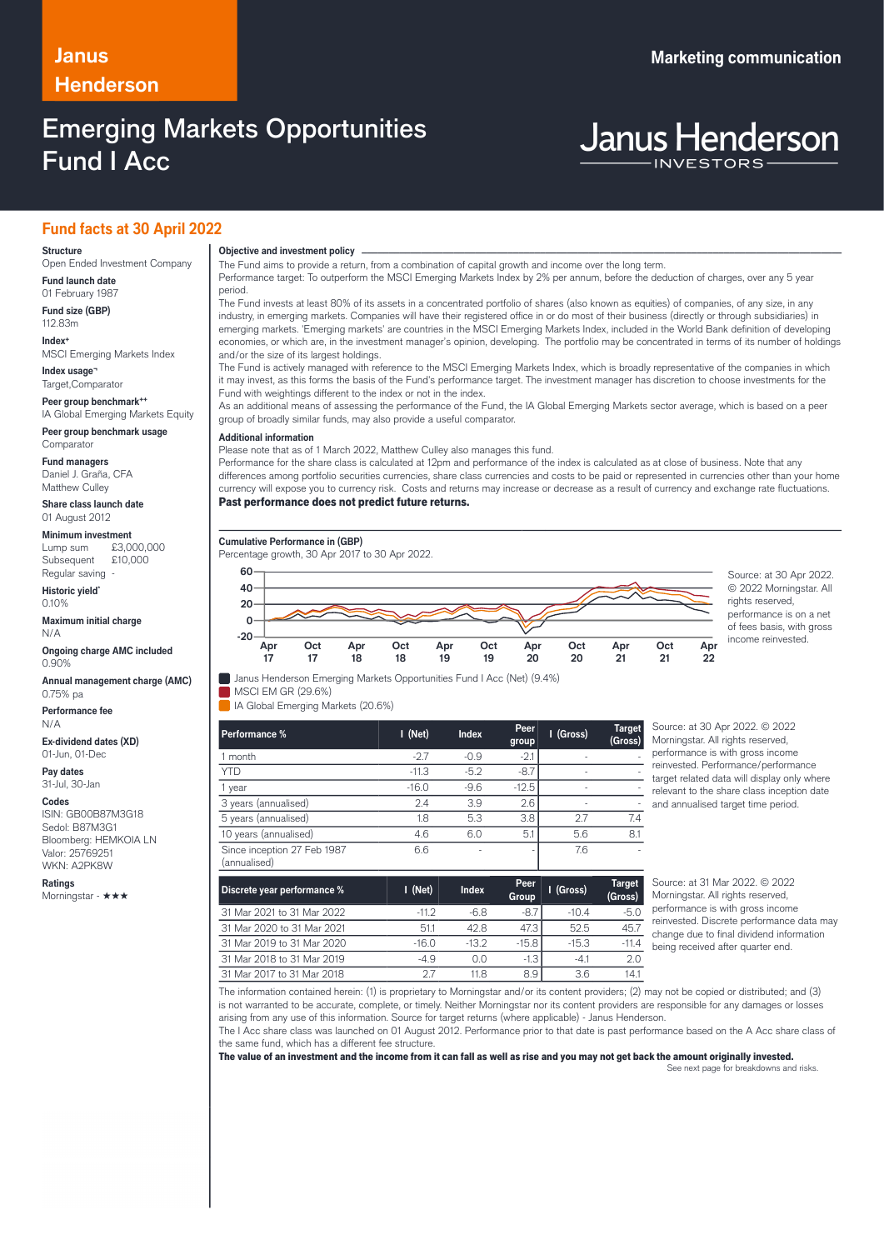# **Henderson**

## Emerging Markets Opportunities Fund I Acc

### **Janus Marketing communication**

# **Janus Henderson**

### **Fund facts at 30 April 2022**

#### **Structure**

Open Ended Investment Company **Fund launch date**

01 February 1987 **Fund size (GBP)**

112.83m **Index+**

MSCI Emerging Markets Index **Index usage¬**

Target,Comparator

**Peer group benchmark++** IA Global Emerging Markets Equity

**Peer group benchmark usage Comparator** 

**Fund managers**

Daniel J. Graña, CFA Matthew Culley

**Share class launch date** 01 August 2012

#### **Minimum investment**

Lump sum £3,000,000 Subsequent £10,000 Regular saving

**Historic yield\*** 0.10%

**Maximum initial charge** N/A

**Ongoing charge AMC included** 0.90%

**Annual management charge (AMC)** 0.75% pa

**Performance fee** N/A

**Ex-dividend dates (XD)** 01-Jun, 01-Dec

**Pay dates** 31-Jul, 30-Jan

#### **Codes**

ISIN: GB00B87M3G18 Sedol: B87M3G1 Bloomberg: HEMKOIA LN Valor: 25769251 WKN: A2PK8W

**Ratings** Morningstar - ★★★

### **Objective and investment policy** ────────────────────────────────────────────────────────────────────────────────────────────────────────────────────────────────────────────────────────────────────────────────────────────────────────────────────────────────────────────────────────────────────────────────────────────────────────────────────────────────────────────────────────────────────────────────────────────────────────────────────────────────────────────────────────────────────────────────────────────────────────────────────

The Fund aims to provide a return, from a combination of capital growth and income over the long term.

Performance target: To outperform the MSCI Emerging Markets Index by 2% per annum, before the deduction of charges, over any 5 year period.

The Fund invests at least 80% of its assets in a concentrated portfolio of shares (also known as equities) of companies, of any size, in any industry, in emerging markets. Companies will have their registered office in or do most of their business (directly or through subsidiaries) in emerging markets. 'Emerging markets' are countries in the MSCI Emerging Markets Index, included in the World Bank definition of developing economies, or which are, in the investment manager's opinion, developing. The portfolio may be concentrated in terms of its number of holdings and/or the size of its largest holdings.

The Fund is actively managed with reference to the MSCI Emerging Markets Index, which is broadly representative of the companies in which it may invest, as this forms the basis of the Fund's performance target. The investment manager has discretion to choose investments for the Fund with weightings different to the index or not in the index.

As an additional means of assessing the performance of the Fund, the IA Global Emerging Markets sector average, which is based on a peer group of broadly similar funds, may also provide a useful comparator.

#### **Additional information**

Please note that as of 1 March 2022, Matthew Culley also manages this fund.

Performance for the share class is calculated at 12pm and performance of the index is calculated as at close of business. Note that any differences among portfolio securities currencies, share class currencies and costs to be paid or represented in currencies other than your home currency will expose you to currency risk. Costs and returns may increase or decrease as a result of currency and exchange rate fluctuations. Past performance does not predict future returns.

**Cumulative Performance in (GBP)**

Percentage growth, 30 Apr 2017 to 30 Apr 2022. **Apr 17 Oct 17 Apr 18 Oct 18 Apr 19 Oct 19 Apr 20 Oct 20 Apr 21 Oct 21 Apr -20 0 20 40 60** Source: at 30 Apr 2022.

Janus Henderson Emerging Markets Opportunities Fund I Acc (Net) (9.4%)

**MSCI EM GR (29.6%)** IA Global Emerging Markets (20.6%)

| Performance %                               | $I$ (Net) | <b>Index</b> | Peer<br>group | I (Gross) | <b>Target</b><br>(Gross) |
|---------------------------------------------|-----------|--------------|---------------|-----------|--------------------------|
| month                                       | $-2.7$    | $-0.9$       | $-2.1$        |           |                          |
| <b>YTD</b>                                  | $-11.3$   | $-5.2$       | $-8.7$        |           |                          |
| year                                        | $-16.0$   | $-9.6$       | $-12.5$       |           |                          |
| 3 years (annualised)                        | 2.4       | 3.9          | 2.6           |           |                          |
| 5 years (annualised)                        | 1.8       | 5.3          | 3.8           | 2.7       | 7.4                      |
| 10 years (annualised)                       | 4.6       | 6.0          | 5.1           | 5.6       | 81                       |
| Since inception 27 Feb 1987<br>(annualised) | 6.6       | ٠            | ٠             | 7.6       |                          |

ource: at 30 Apr 2022. © 2022 Morningstar. All rights reserved, erformance is with gross income einvested. Performance/performance arget related data will display only where relevant to the share class inception date nd annualised target time period.

© 2022 Morningstar. All rights reserved. performance is on a net of fees basis, with gross income reinvested.

**22**

| Discrete year performance % | $I$ (Net) | <b>Index</b> | Peer<br>Group | I (Gross) | <b>Target</b><br>(Gross) |
|-----------------------------|-----------|--------------|---------------|-----------|--------------------------|
| 31 Mar 2021 to 31 Mar 2022  | $-112$    | $-6.8$       | $-8.7$        | $-10.4$   | $-5.0$                   |
| 31 Mar 2020 to 31 Mar 2021  | 511       | 42.8         | 47.3          | 52.5      | 45.7                     |
| 31 Mar 2019 to 31 Mar 2020  | $-16.0$   | $-132$       | $-15.8$       | $-15.3$   | $-114$                   |
| 31 Mar 2018 to 31 Mar 2019  | -49       | 0.0          | $-1.3$        | $-41$     | 2.0                      |
| 31 Mar 2017 to 31 Mar 2018  | 27        | 11 8         | 8.9           | 3.6       | 14.1                     |

Source: at 31 Mar 2022. © 2022 Morningstar. All rights reserved, performance is with gross income reinvested. Discrete performance data may change due to final dividend information being received after quarter end.

The information contained herein: (1) is proprietary to Morningstar and/or its content providers; (2) may not be copied or distributed; and (3) is not warranted to be accurate, complete, or timely. Neither Morningstar nor its content providers are responsible for any damages or losses arising from any use of this information. Source for target returns (where applicable) - Janus Henderson.

The I Acc share class was launched on 01 August 2012. Performance prior to that date is past performance based on the A Acc share class of the same fund, which has a different fee structure.

The value of an investment and the income from it can fall as well as rise and you may not get back the amount originally invested.

See next page for breakdowns and risks.